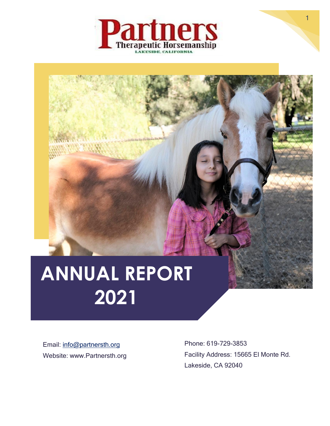

# **ANNUAL REPORT 2021**

Email: [info@partnersth.org](mailto:info@partnersth.org) Website: www.Partnersth.org

Phone: 619-729-3853 Facility Address: 15665 El Monte Rd. Lakeside, CA 92040

1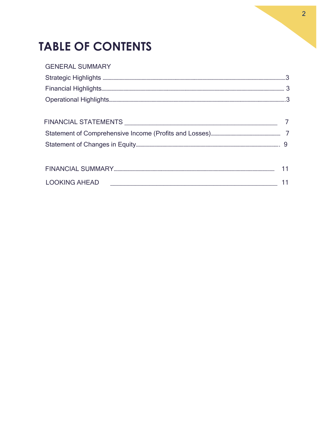## **TABLE OF CONTENTS**

| <b>GENERAL SUMMARY</b>                                                                                                                        |    |
|-----------------------------------------------------------------------------------------------------------------------------------------------|----|
|                                                                                                                                               |    |
|                                                                                                                                               |    |
|                                                                                                                                               |    |
|                                                                                                                                               |    |
|                                                                                                                                               |    |
|                                                                                                                                               |    |
|                                                                                                                                               |    |
|                                                                                                                                               |    |
|                                                                                                                                               | 11 |
| <b>LOOKING AHEAD</b><br><u> 1980 - Johann Barn, mars and de Branch Barn, mars and de Branch Barn, mars and de Branch Barn, mars and de Br</u> |    |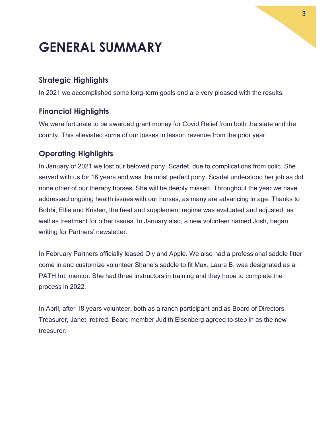# **GENERAL SUMMARY**

### <span id="page-2-0"></span>**Strategic Highlights**

In 2021 we accomplished some long-term goals and are very pleased with the results.

### <span id="page-2-1"></span>**Financial Highlights**

We were fortunate to be awarded grant money for Covid Relief from both the state and the county. This alleviated some of our losses in lesson revenue from the prior year.

### **Operating Highlights**

In January of 2021 we lost our beloved pony, Scarlet, due to complications from colic. She served with us for 18 years and was the most perfect pony. Scarlet understood her job as did none other of our therapy horses. She will be deeply missed. Throughout the year we have addressed ongoing health issues with our horses, as many are advancing in age. Thanks to Bobbi, Ellie and Kristen, the feed and supplement regime was evaluated and adjusted, as well as treatment for other issues. In January also, a new volunteer named Josh, began writing for Partners' newsletter.

In February Partners officially leased Oly and Apple. We also had a professional saddle fitter come in and customize volunteer Shane's saddle to fit Max. Laura B. was designated as a PATH,Int. mentor. She had three instructors in training and they hope to complete the process in 2022.

In April, after 18 years volunteer, both as a ranch participant and as Board of Directors Treasurer, Janet, retired. Board member Judith Eisenberg agreed to step in as the new treasurer.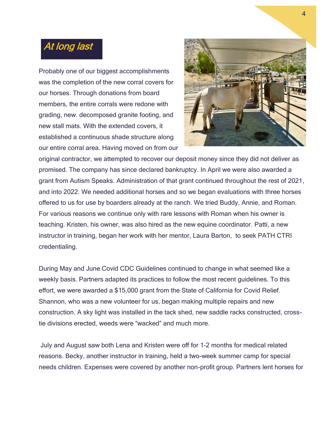### At long last

Probably one of our biggest accomplishments was the completion of the new corral covers for our horses. Through donations from board members, the entire corrals were redone with grading, new. decomposed granite footing, and new stall mats. With the extended covers, it established a continuous shade structure along our entire corral area. Having moved on from our



original contractor, we attempted to recover our deposit money since they did not deliver as promised. The company has since declared bankruptcy. In April we were also awarded a grant from Autism Speaks. Administration of that grant continued throughout the rest of 2021, and into 2022. We needed additional horses and so we began evaluations with three horses offered to us for use by boarders already at the ranch. We tried Buddy, Annie, and Roman. For various reasons we continue only with rare lessons with Roman when his owner is teaching. Kristen, his owner, was also hired as the new equine coordinator. Patti, a new instructor in training, began her work with her mentor, Laura Barton, to seek PATH CTRI credentialing.

During May and June Covid CDC Guidelines continued to change in what seemed like a weekly basis. Partners adapted its practices to follow the most recent guidelines. To this effort, we were awarded a \$15,000 grant from the State of California for Covid Relief. Shannon, who was a new volunteer for us, began making multiple repairs and new construction. A sky light was installed in the tack shed, new saddle racks constructed, crosstie divisions erected, weeds were "wacked" and much more.

July and August saw both Lena and Kristen were off for 1-2 months for medical related reasons. Becky, another instructor in training, held a two-week summer camp for special needs children. Expenses were covered by another non-profit group. Partners lent horses for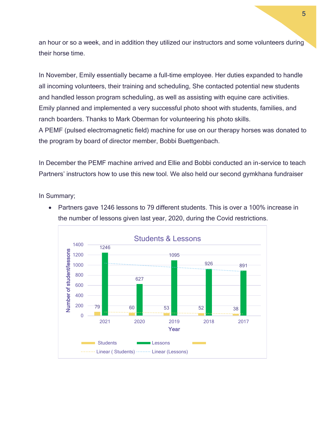an hour or so a week, and in addition they utilized our instructors and some volunteers during their horse time.

In November, Emily essentially became a full-time employee. Her duties expanded to handle all incoming volunteers, their training and scheduling, She contacted potential new students and handled lesson program scheduling, as well as assisting with equine care activities. Emily planned and implemented a very successful photo shoot with students, families, and ranch boarders. Thanks to Mark Oberman for volunteering his photo skills. A PEMF (pulsed electromagnetic field) machine for use on our therapy horses was donated to the program by board of director member, Bobbi Buettgenbach.

In December the PEMF machine arrived and Ellie and Bobbi conducted an in-service to teach Partners' instructors how to use this new tool. We also held our second gymkhana fundraiser

In Summary;



• Partners gave 1246 lessons to 79 different students. This is over a 100% increase in the number of lessons given last year, 2020, during the Covid restrictions.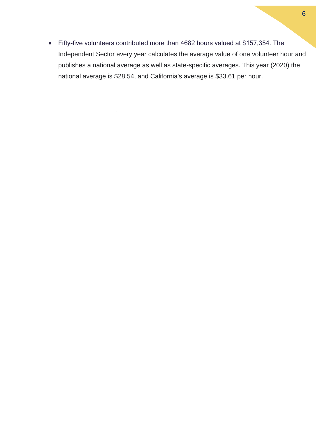• Fifty-five volunteers contributed more than 4682 hours valued at \$157,354. The Independent Sector every year calculates the average value of one volunteer hour and publishes a national average as well as state-specific averages. This year (2020) the national average is \$28.54, and California's average is \$33.61 per hour.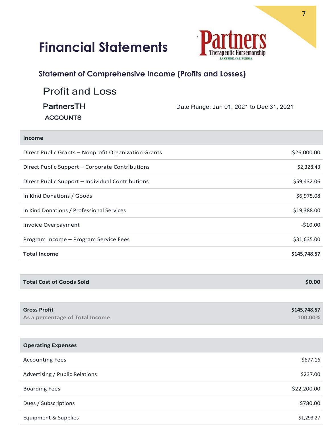# **Financial Statements**



### **Statement of Comprehensive Income (Profits and Losses)**

| <b>Profit and Loss</b> |                                          |
|------------------------|------------------------------------------|
| <b>PartnersTH</b>      | Date Range: Jan 01, 2021 to Dec 31, 2021 |
| <b>ACCOUNTS</b>        |                                          |

| <b>Income</b>                                        |              |
|------------------------------------------------------|--------------|
| Direct Public Grants - Nonprofit Organization Grants | \$26,000.00  |
| Direct Public Support - Corporate Contributions      | \$2,328.43   |
| Direct Public Support - Individual Contributions     | \$59,432.06  |
| In Kind Donations / Goods                            | \$6,975.08   |
| In Kind Donations / Professional Services            | \$19,388.00  |
| Invoice Overpayment                                  | $-$10.00$    |
| Program Income - Program Service Fees                | \$31,635.00  |
| <b>Total Income</b>                                  | \$145,748.57 |
|                                                      |              |
| <b>Total Cost of Goods Sold</b>                      | \$0.00       |
|                                                      |              |
| <b>Gross Profit</b>                                  | \$145,748.57 |
| As a percentage of Total Income                      | 100.00%      |
| <b>Operating Expenses</b>                            |              |
|                                                      |              |
| <b>Accounting Fees</b>                               | \$677.16     |
| Advertising / Public Relations                       | \$237.00     |
| <b>Boarding Fees</b>                                 | \$22,200.00  |
| Dues / Subscriptions                                 | \$780.00     |
| <b>Equipment &amp; Supplies</b>                      | \$1,293.27   |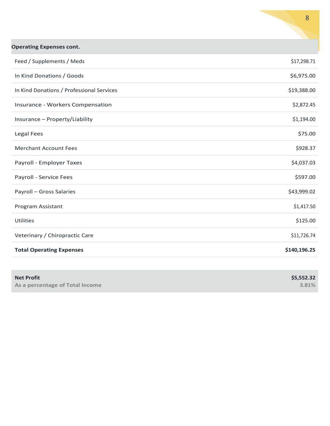| <b>Operating Expenses cont.</b>           |              |  |
|-------------------------------------------|--------------|--|
| Feed / Supplements / Meds                 | \$17,298.71  |  |
| In Kind Donations / Goods                 | \$6,975.00   |  |
| In Kind Donations / Professional Services | \$19,388.00  |  |
| Insurance - Workers Compensation          | \$2,872.45   |  |
| Insurance - Property/Liability            | \$1,194.00   |  |
| Legal Fees                                | \$75.00      |  |
| <b>Merchant Account Fees</b>              | \$928.37     |  |
| Payroll - Employer Taxes                  | \$4,037.03   |  |
| Payroll - Service Fees                    | \$597.00     |  |
| Payroll - Gross Salaries                  | \$43,999.02  |  |
| Program Assistant                         | \$1,417.50   |  |
| Utilities                                 | \$125.00     |  |
| Veterinary / Chiropractic Care            | \$11,726.74  |  |
| <b>Total Operating Expenses</b>           | \$140,196.25 |  |

| <b>Net Profit</b>               | \$5,552.32 |
|---------------------------------|------------|
| As a percentage of Total Income | 3.81%      |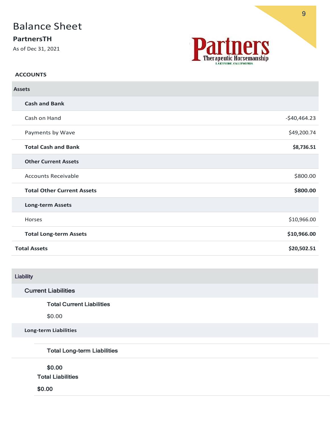### Balance Sheet

### **PartnersTH**

As of Dec 31, 2021



#### **ACCOUNTS**

| <b>Assets</b>       |                                   |               |
|---------------------|-----------------------------------|---------------|
|                     | <b>Cash and Bank</b>              |               |
|                     | Cash on Hand                      | $-$40,464.23$ |
|                     | Payments by Wave                  | \$49,200.74   |
|                     | <b>Total Cash and Bank</b>        | \$8,736.51    |
|                     | <b>Other Current Assets</b>       |               |
|                     | <b>Accounts Receivable</b>        | \$800.00      |
|                     | <b>Total Other Current Assets</b> | \$800.00      |
|                     | <b>Long-term Assets</b>           |               |
|                     | Horses                            | \$10,966.00   |
|                     | <b>Total Long-term Assets</b>     | \$10,966.00   |
| <b>Total Assets</b> |                                   | \$20,502.51   |
|                     |                                   |               |

### Liability

### Current Liabilities

#### Total Current Liabilities

\$0.00

**Long-term Liabilities**

Total Long-term Liabilities

\$0.00

Total Liabilities

\$0.00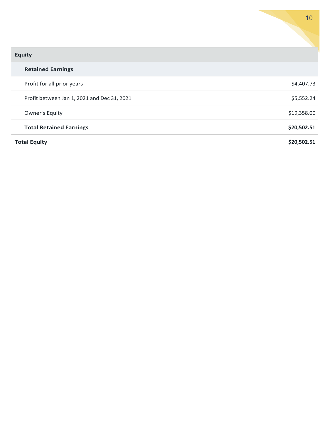| <b>Equity</b>                               |              |
|---------------------------------------------|--------------|
| <b>Retained Earnings</b>                    |              |
| Profit for all prior years                  | $-$4,407.73$ |
| Profit between Jan 1, 2021 and Dec 31, 2021 | \$5,552.24   |
| Owner's Equity                              | \$19,358.00  |
| <b>Total Retained Earnings</b>              | \$20,502.51  |
| <b>Total Equity</b>                         | \$20,502.51  |

10